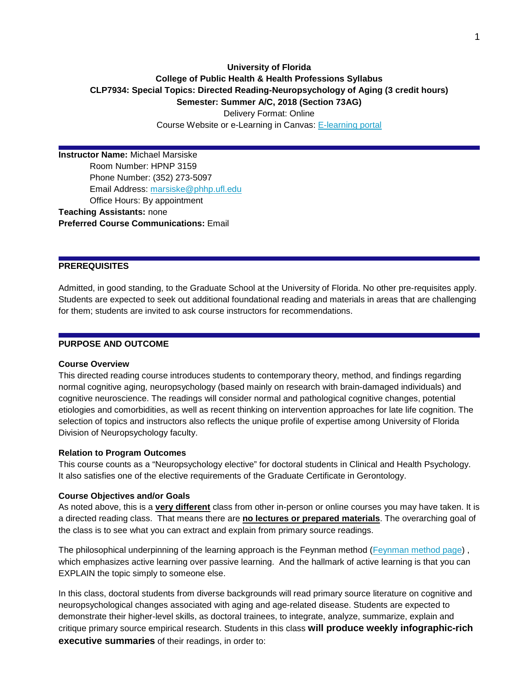# **University of Florida College of Public Health & Health Professions Syllabus CLP7934: Special Topics: Directed Reading-Neuropsychology of Aging (3 credit hours) Semester: Summer A/C, 2018 (Section 73AG)**

Delivery Format: Online Course Website or e-Learning in Canvas: [E-learning portal](http://elearning.ufl.edu/)

**Instructor Name:** Michael Marsiske Room Number: HPNP 3159 Phone Number: (352) 273-5097 Email Address: [marsiske@phhp.ufl.edu](mailto:marsiske@phhp.ufl.edu) Office Hours: By appointment **Teaching Assistants:** none **Preferred Course Communications:** Email

### **PREREQUISITES**

Admitted, in good standing, to the Graduate School at the University of Florida. No other pre-requisites apply. Students are expected to seek out additional foundational reading and materials in areas that are challenging for them; students are invited to ask course instructors for recommendations.

### **PURPOSE AND OUTCOME**

#### **Course Overview**

This directed reading course introduces students to contemporary theory, method, and findings regarding normal cognitive aging, neuropsychology (based mainly on research with brain-damaged individuals) and cognitive neuroscience. The readings will consider normal and pathological cognitive changes, potential etiologies and comorbidities, as well as recent thinking on intervention approaches for late life cognition. The selection of topics and instructors also reflects the unique profile of expertise among University of Florida Division of Neuropsychology faculty.

#### **Relation to Program Outcomes**

This course counts as a "Neuropsychology elective" for doctoral students in Clinical and Health Psychology. It also satisfies one of the elective requirements of the Graduate Certificate in Gerontology.

#### **Course Objectives and/or Goals**

As noted above, this is a **very different** class from other in-person or online courses you may have taken. It is a directed reading class. That means there are **no lectures or prepared materials**. The overarching goal of the class is to see what you can extract and explain from primary source readings.

The philosophical underpinning of the learning approach is the Feynman method [\(Feynman method page\)](http://lifehacker.com/the-feynman-technique-helps-you-study-faster-and-retain-1790501936). which emphasizes active learning over passive learning. And the hallmark of active learning is that you can EXPLAIN the topic simply to someone else.

In this class, doctoral students from diverse backgrounds will read primary source literature on cognitive and neuropsychological changes associated with aging and age-related disease. Students are expected to demonstrate their higher-level skills, as doctoral trainees, to integrate, analyze, summarize, explain and critique primary source empirical research. Students in this class **will produce weekly infographic-rich executive summaries** of their readings, in order to: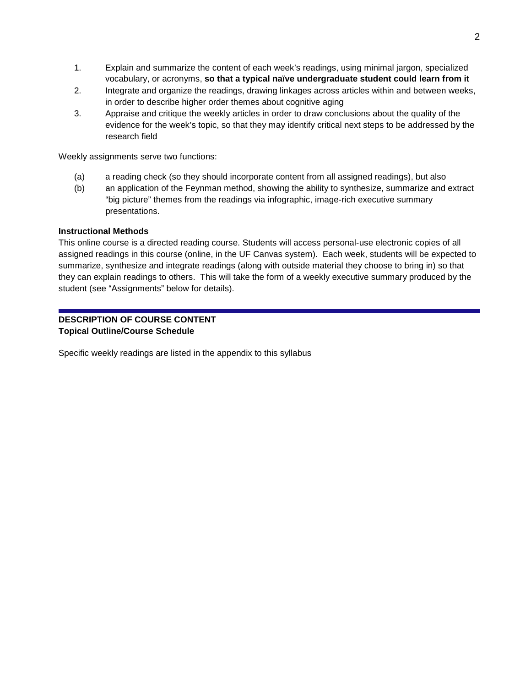- 1. Explain and summarize the content of each week's readings, using minimal jargon, specialized vocabulary, or acronyms, **so that a typical naïve undergraduate student could learn from it**
- 2. Integrate and organize the readings, drawing linkages across articles within and between weeks, in order to describe higher order themes about cognitive aging
- 3. Appraise and critique the weekly articles in order to draw conclusions about the quality of the evidence for the week's topic, so that they may identify critical next steps to be addressed by the research field

Weekly assignments serve two functions:

- (a) a reading check (so they should incorporate content from all assigned readings), but also
- (b) an application of the Feynman method, showing the ability to synthesize, summarize and extract "big picture" themes from the readings via infographic, image-rich executive summary presentations.

### **Instructional Methods**

This online course is a directed reading course. Students will access personal-use electronic copies of all assigned readings in this course (online, in the UF Canvas system). Each week, students will be expected to summarize, synthesize and integrate readings (along with outside material they choose to bring in) so that they can explain readings to others. This will take the form of a weekly executive summary produced by the student (see "Assignments" below for details).

# **DESCRIPTION OF COURSE CONTENT Topical Outline/Course Schedule**

Specific weekly readings are listed in the appendix to this syllabus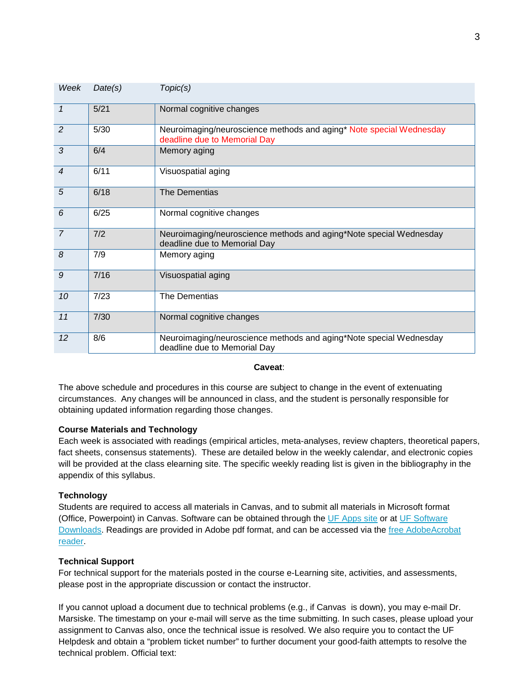| Week           | Date(s) | Topic(s)                                                                                            |
|----------------|---------|-----------------------------------------------------------------------------------------------------|
| $\mathcal{I}$  | 5/21    | Normal cognitive changes                                                                            |
| $\overline{2}$ | 5/30    | Neuroimaging/neuroscience methods and aging* Note special Wednesday<br>deadline due to Memorial Day |
| 3              | 6/4     | Memory aging                                                                                        |
| $\overline{4}$ | 6/11    | Visuospatial aging                                                                                  |
| $\overline{5}$ | 6/18    | <b>The Dementias</b>                                                                                |
| 6              | 6/25    | Normal cognitive changes                                                                            |
| $\overline{7}$ | 7/2     | Neuroimaging/neuroscience methods and aging*Note special Wednesday<br>deadline due to Memorial Day  |
| $\delta$       | 7/9     | Memory aging                                                                                        |
| 9              | 7/16    | Visuospatial aging                                                                                  |
| 10             | 7/23    | The Dementias                                                                                       |
| 11             | 7/30    | Normal cognitive changes                                                                            |
| 12             | 8/6     | Neuroimaging/neuroscience methods and aging*Note special Wednesday<br>deadline due to Memorial Day  |

### **Caveat**:

The above schedule and procedures in this course are subject to change in the event of extenuating circumstances. Any changes will be announced in class, and the student is personally responsible for obtaining updated information regarding those changes.

## **Course Materials and Technology**

Each week is associated with readings (empirical articles, meta-analyses, review chapters, theoretical papers, fact sheets, consensus statements). These are detailed below in the weekly calendar, and electronic copies will be provided at the class elearning site. The specific weekly reading list is given in the bibliography in the appendix of this syllabus.

## **Technology**

Students are required to access all materials in Canvas, and to submit all materials in Microsoft format (Office, Powerpoint) in Canvas. Software can be obtained through the [UF Apps site](https://apps.ufl.edu/) or at [UF Software](https://software.ufl.edu/agreements/microsoft/student/downloads/)  [Downloads.](https://software.ufl.edu/agreements/microsoft/student/downloads/) Readings are provided in Adobe pdf format, and can be accessed via the [free AdobeAcrobat](http://www.adobe.com/products/reader.html)  [reader.](http://www.adobe.com/products/reader.html)

## **Technical Support**

For technical support for the materials posted in the course e-Learning site, activities, and assessments, please post in the appropriate discussion or contact the instructor.

If you cannot upload a document due to technical problems (e.g., if Canvas is down), you may e-mail Dr. Marsiske. The timestamp on your e-mail will serve as the time submitting. In such cases, please upload your assignment to Canvas also, once the technical issue is resolved. We also require you to contact the UF Helpdesk and obtain a "problem ticket number" to further document your good-faith attempts to resolve the technical problem. Official text: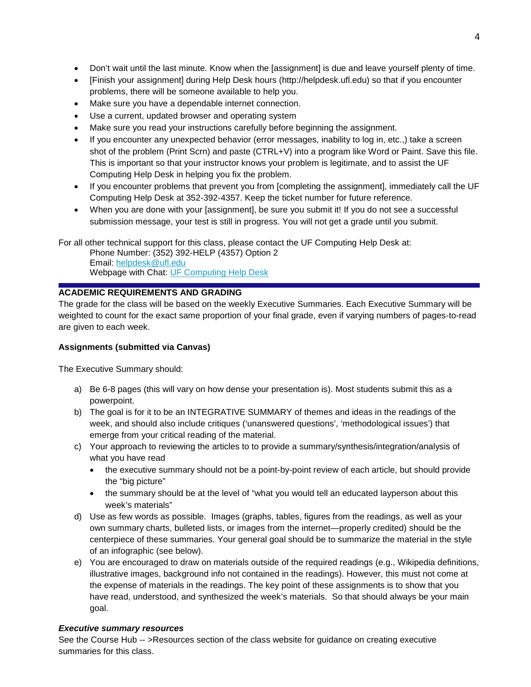- Don't wait until the last minute. Know when the [assignment] is due and leave yourself plenty of time.
- [Finish your assignment] during Help Desk hours (http://helpdesk.ufl.edu) so that if you encounter problems, there will be someone available to help you.
- Make sure you have a dependable internet connection.
- Use a current, updated browser and operating system
- Make sure you read your instructions carefully before beginning the assignment.
- If you encounter any unexpected behavior (error messages, inability to log in, etc.,) take a screen shot of the problem (Print Scrn) and paste (CTRL+V) into a program like Word or Paint. Save this file. This is important so that your instructor knows your problem is legitimate, and to assist the UF Computing Help Desk in helping you fix the problem.
- If you encounter problems that prevent you from [completing the assignment], immediately call the UF Computing Help Desk at 352-392-4357. Keep the ticket number for future reference.
- When you are done with your [assignment], be sure you submit it! If you do not see a successful submission message, your test is still in progress. You will not get a grade until you submit.

For all other technical support for this class, please contact the UF Computing Help Desk at:

Phone Number: (352) 392-HELP (4357) Option 2 Email: [helpdesk@ufl.edu](mailto:helpdesk@ufl.edu) Webpage with Chat: [UF Computing Help Desk](http://helpdesk.ufl.edu/)

# **ACADEMIC REQUIREMENTS AND GRADING**

The grade for the class will be based on the weekly Executive Summaries. Each Executive Summary will be weighted to count for the exact same proportion of your final grade, even if varying numbers of pages-to-read are given to each week.

## **Assignments (submitted via Canvas)**

The Executive Summary should:

- a) Be 6-8 pages (this will vary on how dense your presentation is). Most students submit this as a powerpoint.
- b) The goal is for it to be an INTEGRATIVE SUMMARY of themes and ideas in the readings of the week, and should also include critiques ('unanswered questions', 'methodological issues') that emerge from your critical reading of the material.
- c) Your approach to reviewing the articles to to provide a summary/synthesis/integration/analysis of what you have read
	- the executive summary should not be a point-by-point review of each article, but should provide the "big picture"
	- the summary should be at the level of "what you would tell an educated layperson about this week's materials"
- d) Use as few words as possible. Images (graphs, tables, figures from the readings, as well as your own summary charts, bulleted lists, or images from the internet—properly credited) should be the centerpiece of these summaries. Your general goal should be to summarize the material in the style of an infographic (see below).
- e) You are encouraged to draw on materials outside of the required readings (e.g., Wikipedia definitions, illustrative images, background info not contained in the readings). However, this must not come at the expense of materials in the readings. The key point of these assignments is to show that you have read, understood, and synthesized the week's materials. So that should always be your main goal.

## *Executive summary resources*

See the Course Hub -- >Resources section of the class website for guidance on creating executive summaries for this class.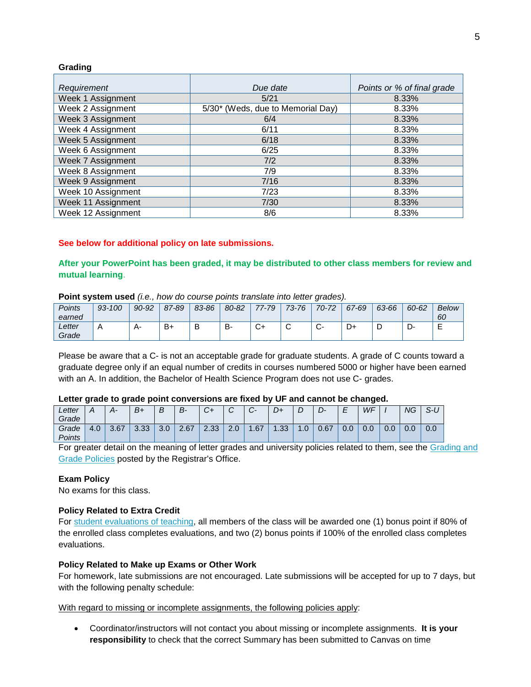### **Grading**

| Requirement        | Due date                          | Points or % of final grade |
|--------------------|-----------------------------------|----------------------------|
| Week 1 Assignment  | 5/21                              | 8.33%                      |
| Week 2 Assignment  | 5/30* (Weds, due to Memorial Day) | 8.33%                      |
| Week 3 Assignment  | 6/4                               | 8.33%                      |
| Week 4 Assignment  | 6/11                              | 8.33%                      |
| Week 5 Assignment  | 6/18                              | 8.33%                      |
| Week 6 Assignment  | 6/25                              | 8.33%                      |
| Week 7 Assignment  | 7/2                               | 8.33%                      |
| Week 8 Assignment  | 7/9                               | 8.33%                      |
| Week 9 Assignment  | 7/16                              | 8.33%                      |
| Week 10 Assignment | 7/23                              | 8.33%                      |
| Week 11 Assignment | 7/30                              | 8.33%                      |
| Week 12 Assignment | 8/6                               | 8.33%                      |

### **See below for additional policy on late submissions.**

## **After your PowerPoint has been graded, it may be distributed to other class members for review and mutual learning**.

## **Point system used** *(i.e., how do course points translate into letter grades).*

| Points<br>earned | $-100$<br>93- | 90-92 | 87-89 | 83-86 | 80-82 | $7 - 79$ | $73 - 76$ | $70 - 72$       | 67-69 | 63-66 | 60-62 | Below<br>60 |
|------------------|---------------|-------|-------|-------|-------|----------|-----------|-----------------|-------|-------|-------|-------------|
| Letter<br>Grade  | $\mathsf{A}$  | д.    | B+    |       | D.    | ∼        | ╭<br>◡    | $\sqrt{2}$<br>v | D+    | ◡     | <br>ັ | -           |

Please be aware that a C- is not an acceptable grade for graduate students. A grade of C counts toward a graduate degree only if an equal number of credits in courses numbered 5000 or higher have been earned with an A. In addition, the Bachelor of Health Science Program does not use C- grades.

### **Letter grade to grade point conversions are fixed by UF and cannot be changed.**

| Letter |     | А-   | B+             | В   | В-   | ◡+   | $\sqrt{2}$<br>ີ | ⌒<br>$\mathbf{v}$ | D+          | ◡                  |      | -<br>-<br>_   | WF  |               | NG            | $\sim$ $\prime$<br><u>ა-ს</u> |
|--------|-----|------|----------------|-----|------|------|-----------------|-------------------|-------------|--------------------|------|---------------|-----|---------------|---------------|-------------------------------|
| Grade  |     |      |                |     |      |      |                 |                   |             |                    |      |               |     |               |               |                               |
| Grade  | 4.0 | 3.67 | 3.33<br>$\sim$ | 3.0 | 2.67 | 2.33 | 2.0             | 1.67              | 33<br>⊏ت. ا | $\mathsf{.0}$<br>и | 0.67 | $\sim$<br>v.v | 0.0 | $\sim$<br>v.v | $\cap$<br>U.U | 0.0                           |
| Points |     |      |                |     |      |      |                 |                   |             |                    |      |               |     |               |               |                               |

For greater detail on the meaning of letter grades and university policies related to them, see the [Grading and](https://catalog.ufl.edu/ugrad/current/regulations/info/grades.aspx)  [Grade Policies](https://catalog.ufl.edu/ugrad/current/regulations/info/grades.aspx) posted by the Registrar's Office.

### **Exam Policy**

No exams for this class.

### **Policy Related to Extra Credit**

For [student evaluations of teaching,](https://evaluations.ufl.edu/) all members of the class will be awarded one (1) bonus point if 80% of the enrolled class completes evaluations, and two (2) bonus points if 100% of the enrolled class completes evaluations.

### **Policy Related to Make up Exams or Other Work**

For homework, late submissions are not encouraged. Late submissions will be accepted for up to 7 days, but with the following penalty schedule:

With regard to missing or incomplete assignments, the following policies apply:

• Coordinator/instructors will not contact you about missing or incomplete assignments. **It is your responsibility** to check that the correct Summary has been submitted to Canvas on time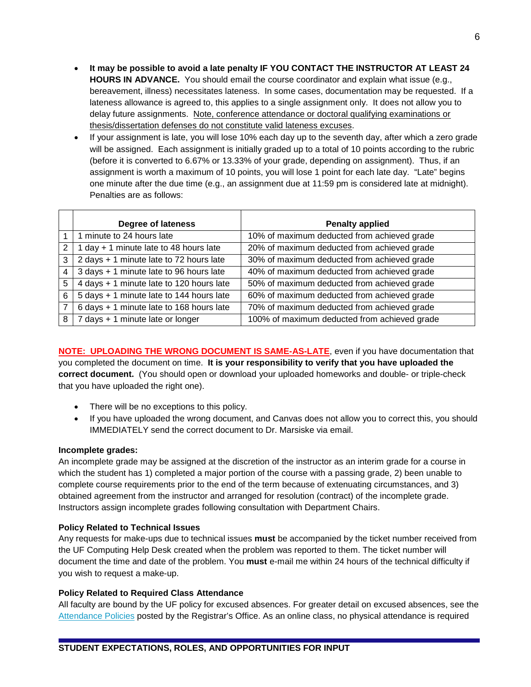- **It may be possible to avoid a late penalty IF YOU CONTACT THE INSTRUCTOR AT LEAST 24 HOURS IN ADVANCE.** You should email the course coordinator and explain what issue (e.g., bereavement, illness) necessitates lateness. In some cases, documentation may be requested. If a lateness allowance is agreed to, this applies to a single assignment only. It does not allow you to delay future assignments. Note, conference attendance or doctoral qualifying examinations or thesis/dissertation defenses do not constitute valid lateness excuses.
- If your assignment is late, you will lose 10% each day up to the seventh day, after which a zero grade will be assigned. Each assignment is initially graded up to a total of 10 points according to the rubric (before it is converted to 6.67% or 13.33% of your grade, depending on assignment). Thus, if an assignment is worth a maximum of 10 points, you will lose 1 point for each late day. "Late" begins one minute after the due time (e.g., an assignment due at 11:59 pm is considered late at midnight). Penalties are as follows:

|   | Degree of lateness                       | <b>Penalty applied</b>                       |
|---|------------------------------------------|----------------------------------------------|
|   | 1 minute to 24 hours late                | 10% of maximum deducted from achieved grade  |
| 2 | 1 day + 1 minute late to 48 hours late   | 20% of maximum deducted from achieved grade  |
| 3 | 2 days + 1 minute late to 72 hours late  | 30% of maximum deducted from achieved grade  |
| 4 | 3 days + 1 minute late to 96 hours late  | 40% of maximum deducted from achieved grade  |
| 5 | 4 days + 1 minute late to 120 hours late | 50% of maximum deducted from achieved grade  |
| 6 | 5 days + 1 minute late to 144 hours late | 60% of maximum deducted from achieved grade  |
| 7 | 6 days + 1 minute late to 168 hours late | 70% of maximum deducted from achieved grade  |
| 8 | 7 days + 1 minute late or longer         | 100% of maximum deducted from achieved grade |

**NOTE: UPLOADING THE WRONG DOCUMENT IS SAME-AS-LATE**, even if you have documentation that you completed the document on time. **It is your responsibility to verify that you have uploaded the correct document.** (You should open or download your uploaded homeworks and double- or triple-check that you have uploaded the right one).

- There will be no exceptions to this policy.
- If you have uploaded the wrong document, and Canvas does not allow you to correct this, you should IMMEDIATELY send the correct document to Dr. Marsiske via email.

## **Incomplete grades:**

An incomplete grade may be assigned at the discretion of the instructor as an interim grade for a course in which the student has 1) completed a major portion of the course with a passing grade, 2) been unable to complete course requirements prior to the end of the term because of extenuating circumstances, and 3) obtained agreement from the instructor and arranged for resolution (contract) of the incomplete grade. Instructors assign incomplete grades following consultation with Department Chairs.

## **Policy Related to Technical Issues**

Any requests for make-ups due to technical issues **must** be accompanied by the ticket number received from the UF Computing Help Desk created when the problem was reported to them. The ticket number will document the time and date of the problem. You **must** e-mail me within 24 hours of the technical difficulty if you wish to request a make-up.

## **Policy Related to Required Class Attendance**

All faculty are bound by the UF policy for excused absences. For greater detail on excused absences, see the [Attendance Policies](https://catalog.ufl.edu/ugrad/current/regulations/info/attendance.aspx) posted by the Registrar's Office. As an online class, no physical attendance is required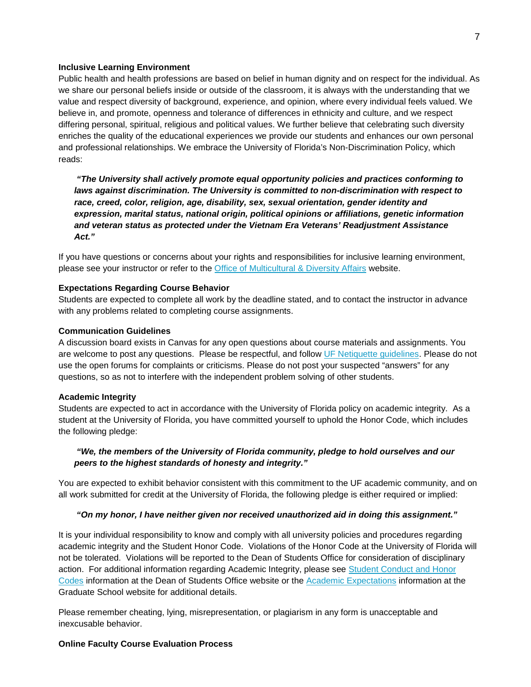#### **Inclusive Learning Environment**

Public health and health professions are based on belief in human dignity and on respect for the individual. As we share our personal beliefs inside or outside of the classroom, it is always with the understanding that we value and respect diversity of background, experience, and opinion, where every individual feels valued. We believe in, and promote, openness and tolerance of differences in ethnicity and culture, and we respect differing personal, spiritual, religious and political values. We further believe that celebrating such diversity enriches the quality of the educational experiences we provide our students and enhances our own personal and professional relationships. We embrace the University of Florida's Non-Discrimination Policy, which reads:

*"The University shall actively promote equal opportunity policies and practices conforming to laws against discrimination. The University is committed to non-discrimination with respect to race, creed, color, religion, age, disability, sex, sexual orientation, gender identity and expression, marital status, national origin, political opinions or affiliations, genetic information and veteran status as protected under the Vietnam Era Veterans' Readjustment Assistance Act."*

If you have questions or concerns about your rights and responsibilities for inclusive learning environment, please see your instructor or refer to the [Office of Multicultural & Diversity Affairs](http://www.multicultural.ufl.edu/) website.

#### **Expectations Regarding Course Behavior**

Students are expected to complete all work by the deadline stated, and to contact the instructor in advance with any problems related to completing course assignments.

#### **Communication Guidelines**

A discussion board exists in Canvas for any open questions about course materials and assignments. You are welcome to post any questions. Please be respectful, and follow UF Netiquette quidelines. Please do not use the open forums for complaints or criticisms. Please do not post your suspected "answers" for any questions, so as not to interfere with the independent problem solving of other students.

#### **Academic Integrity**

Students are expected to act in accordance with the University of Florida policy on academic integrity. As a student at the University of Florida, you have committed yourself to uphold the Honor Code, which includes the following pledge:

## *"We, the members of the University of Florida community, pledge to hold ourselves and our peers to the highest standards of honesty and integrity."*

You are expected to exhibit behavior consistent with this commitment to the UF academic community, and on all work submitted for credit at the University of Florida, the following pledge is either required or implied:

#### *"On my honor, I have neither given nor received unauthorized aid in doing this assignment."*

It is your individual responsibility to know and comply with all university policies and procedures regarding academic integrity and the Student Honor Code. Violations of the Honor Code at the University of Florida will not be tolerated. Violations will be reported to the Dean of Students Office for consideration of disciplinary action. For additional information regarding Academic Integrity, please see [Student Conduct and Honor](https://sccr.dso.ufl.edu/)  [Codes](https://sccr.dso.ufl.edu/) information at the Dean of Students Office website or the [Academic Expectations](http://graduateschool.ufl.edu/admissions/orientation/academic-expectations/) information at the Graduate School website for additional details.

Please remember cheating, lying, misrepresentation, or plagiarism in any form is unacceptable and inexcusable behavior.

#### **Online Faculty Course Evaluation Process**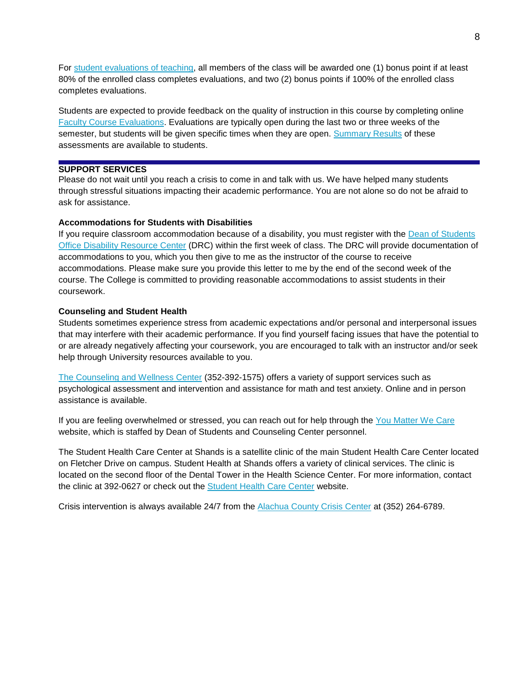For [student evaluations of teaching,](https://evaluations.ufl.edu/) all members of the class will be awarded one (1) bonus point if at least 80% of the enrolled class completes evaluations, and two (2) bonus points if 100% of the enrolled class completes evaluations.

Students are expected to provide feedback on the quality of instruction in this course by completing online [Faculty Course Evaluations.](https://evaluations.ufl.edu/) Evaluations are typically open during the last two or three weeks of the semester, but students will be given specific times when they are open. [Summary Results](https://evaluations.ufl.edu/results/) of these assessments are available to students.

## **SUPPORT SERVICES**

Please do not wait until you reach a crisis to come in and talk with us. We have helped many students through stressful situations impacting their academic performance. You are not alone so do not be afraid to ask for assistance.

#### **Accommodations for Students with Disabilities**

If you require classroom accommodation because of a disability, you must register with the Dean of Students [Office Disability Resource Center](https://drc.dso.ufl.edu/) (DRC) within the first week of class. The DRC will provide documentation of accommodations to you, which you then give to me as the instructor of the course to receive accommodations. Please make sure you provide this letter to me by the end of the second week of the course. The College is committed to providing reasonable accommodations to assist students in their coursework.

#### **Counseling and Student Health**

Students sometimes experience stress from academic expectations and/or personal and interpersonal issues that may interfere with their academic performance. If you find yourself facing issues that have the potential to or are already negatively affecting your coursework, you are encouraged to talk with an instructor and/or seek help through University resources available to you.

[The Counseling and Wellness Center](http://www.counseling.ufl.edu/) (352-392-1575) offers a variety of support services such as psychological assessment and intervention and assistance for math and test anxiety. Online and in person assistance is available.

If you are feeling overwhelmed or stressed, you can reach out for help through the [You Matter We Care](http://www.umatter.ufl.edu/) website, which is staffed by Dean of Students and Counseling Center personnel.

The Student Health Care Center at Shands is a satellite clinic of the main Student Health Care Center located on Fletcher Drive on campus. Student Health at Shands offers a variety of clinical services. The clinic is located on the second floor of the Dental Tower in the Health Science Center. For more information, contact the clinic at 392-0627 or check out the **Student Health Care Center** website.

Crisis intervention is always available 24/7 from the [Alachua County Crisis Center](http://www.alachuacounty.us/DEPTS/CSS/CRISISCENTER/Pages/CrisisCenter.aspx) at (352) 264-6789.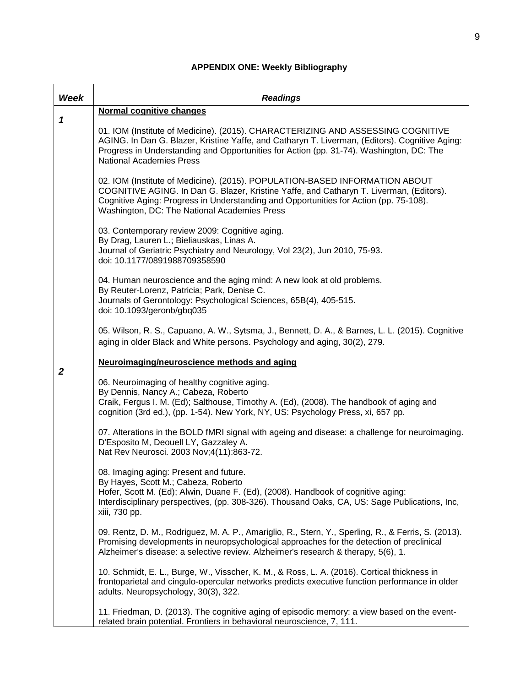# **APPENDIX ONE: Weekly Bibliography**

| Week             | <b>Readings</b>                                                                                                                                                                                                                                                                                                 |
|------------------|-----------------------------------------------------------------------------------------------------------------------------------------------------------------------------------------------------------------------------------------------------------------------------------------------------------------|
| 1                | Normal cognitive changes                                                                                                                                                                                                                                                                                        |
|                  | 01. IOM (Institute of Medicine). (2015). CHARACTERIZING AND ASSESSING COGNITIVE<br>AGING. In Dan G. Blazer, Kristine Yaffe, and Catharyn T. Liverman, (Editors). Cognitive Aging:<br>Progress in Understanding and Opportunities for Action (pp. 31-74). Washington, DC: The<br><b>National Academies Press</b> |
|                  | 02. IOM (Institute of Medicine). (2015). POPULATION-BASED INFORMATION ABOUT<br>COGNITIVE AGING. In Dan G. Blazer, Kristine Yaffe, and Catharyn T. Liverman, (Editors).<br>Cognitive Aging: Progress in Understanding and Opportunities for Action (pp. 75-108).<br>Washington, DC: The National Academies Press |
|                  | 03. Contemporary review 2009: Cognitive aging.<br>By Drag, Lauren L.; Bieliauskas, Linas A.<br>Journal of Geriatric Psychiatry and Neurology, Vol 23(2), Jun 2010, 75-93.<br>doi: 10.1177/0891988709358590                                                                                                      |
|                  | 04. Human neuroscience and the aging mind: A new look at old problems.<br>By Reuter-Lorenz, Patricia; Park, Denise C.<br>Journals of Gerontology: Psychological Sciences, 65B(4), 405-515.<br>doi: 10.1093/geronb/gbq035                                                                                        |
|                  | 05. Wilson, R. S., Capuano, A. W., Sytsma, J., Bennett, D. A., & Barnes, L. L. (2015). Cognitive<br>aging in older Black and White persons. Psychology and aging, 30(2), 279.                                                                                                                                   |
| $\boldsymbol{2}$ | Neuroimaging/neuroscience methods and aging                                                                                                                                                                                                                                                                     |
|                  | 06. Neuroimaging of healthy cognitive aging.<br>By Dennis, Nancy A.; Cabeza, Roberto<br>Craik, Fergus I. M. (Ed); Salthouse, Timothy A. (Ed), (2008). The handbook of aging and<br>cognition (3rd ed.), (pp. 1-54). New York, NY, US: Psychology Press, xi, 657 pp.                                             |
|                  | 07. Alterations in the BOLD fMRI signal with ageing and disease: a challenge for neuroimaging.<br>D'Esposito M, Deouell LY, Gazzaley A.<br>Nat Rev Neurosci. 2003 Nov; 4(11): 863-72.                                                                                                                           |
|                  | 08. Imaging aging: Present and future.<br>By Hayes, Scott M.; Cabeza, Roberto<br>Hofer, Scott M. (Ed); Alwin, Duane F. (Ed), (2008). Handbook of cognitive aging:<br>Interdisciplinary perspectives, (pp. 308-326). Thousand Oaks, CA, US: Sage Publications, Inc,<br>xiii, 730 pp.                             |
|                  | 09. Rentz, D. M., Rodriguez, M. A. P., Amariglio, R., Stern, Y., Sperling, R., & Ferris, S. (2013).<br>Promising developments in neuropsychological approaches for the detection of preclinical<br>Alzheimer's disease: a selective review. Alzheimer's research & therapy, 5(6), 1.                            |
|                  | 10. Schmidt, E. L., Burge, W., Visscher, K. M., & Ross, L. A. (2016). Cortical thickness in<br>frontoparietal and cingulo-opercular networks predicts executive function performance in older<br>adults. Neuropsychology, 30(3), 322.                                                                           |
|                  | 11. Friedman, D. (2013). The cognitive aging of episodic memory: a view based on the event-<br>related brain potential. Frontiers in behavioral neuroscience, 7, 111.                                                                                                                                           |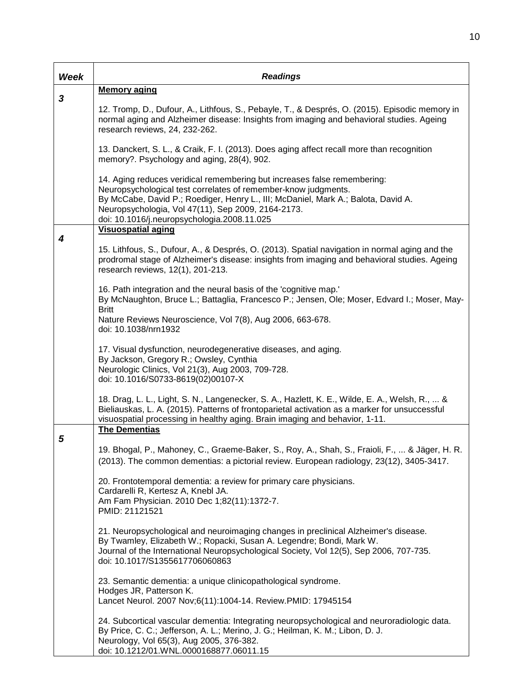| Week | <b>Readings</b>                                                                                                                                                                                                                                                                                                                      |
|------|--------------------------------------------------------------------------------------------------------------------------------------------------------------------------------------------------------------------------------------------------------------------------------------------------------------------------------------|
| 3    | <b>Memory aging</b>                                                                                                                                                                                                                                                                                                                  |
|      | 12. Tromp, D., Dufour, A., Lithfous, S., Pebayle, T., & Després, O. (2015). Episodic memory in<br>normal aging and Alzheimer disease: Insights from imaging and behavioral studies. Ageing<br>research reviews, 24, 232-262.                                                                                                         |
|      | 13. Danckert, S. L., & Craik, F. I. (2013). Does aging affect recall more than recognition<br>memory?. Psychology and aging, 28(4), 902.                                                                                                                                                                                             |
|      | 14. Aging reduces veridical remembering but increases false remembering:<br>Neuropsychological test correlates of remember-know judgments.<br>By McCabe, David P.; Roediger, Henry L., III; McDaniel, Mark A.; Balota, David A.<br>Neuropsychologia, Vol 47(11), Sep 2009, 2164-2173.<br>doi: 10.1016/j.neuropsychologia.2008.11.025 |
| 4    | <b>Visuospatial aging</b>                                                                                                                                                                                                                                                                                                            |
|      | 15. Lithfous, S., Dufour, A., & Després, O. (2013). Spatial navigation in normal aging and the<br>prodromal stage of Alzheimer's disease: insights from imaging and behavioral studies. Ageing<br>research reviews, 12(1), 201-213.                                                                                                  |
|      | 16. Path integration and the neural basis of the 'cognitive map.'<br>By McNaughton, Bruce L.; Battaglia, Francesco P.; Jensen, Ole; Moser, Edvard I.; Moser, May-<br><b>Britt</b>                                                                                                                                                    |
|      | Nature Reviews Neuroscience, Vol 7(8), Aug 2006, 663-678.<br>doi: 10.1038/nrn1932                                                                                                                                                                                                                                                    |
|      | 17. Visual dysfunction, neurodegenerative diseases, and aging.<br>By Jackson, Gregory R.; Owsley, Cynthia<br>Neurologic Clinics, Vol 21(3), Aug 2003, 709-728.<br>doi: 10.1016/S0733-8619(02)00107-X                                                                                                                                 |
|      | 18. Drag, L. L., Light, S. N., Langenecker, S. A., Hazlett, K. E., Wilde, E. A., Welsh, R.,  &<br>Bieliauskas, L. A. (2015). Patterns of frontoparietal activation as a marker for unsuccessful<br>visuospatial processing in healthy aging. Brain imaging and behavior, 1-11.                                                       |
| 5    | <b>The Dementias</b>                                                                                                                                                                                                                                                                                                                 |
|      | 19. Bhogal, P., Mahoney, C., Graeme-Baker, S., Roy, A., Shah, S., Fraioli, F.,  & Jäger, H. R.<br>(2013). The common dementias: a pictorial review. European radiology, 23(12), 3405-3417.                                                                                                                                           |
|      | 20. Frontotemporal dementia: a review for primary care physicians.<br>Cardarelli R, Kertesz A, Knebl JA.<br>Am Fam Physician. 2010 Dec 1;82(11):1372-7.<br>PMID: 21121521                                                                                                                                                            |
|      | 21. Neuropsychological and neuroimaging changes in preclinical Alzheimer's disease.<br>By Twamley, Elizabeth W.; Ropacki, Susan A. Legendre; Bondi, Mark W.<br>Journal of the International Neuropsychological Society, Vol 12(5), Sep 2006, 707-735.<br>doi: 10.1017/S1355617706060863                                              |
|      | 23. Semantic dementia: a unique clinicopathological syndrome.<br>Hodges JR, Patterson K.<br>Lancet Neurol. 2007 Nov;6(11):1004-14. Review.PMID: 17945154                                                                                                                                                                             |
|      | 24. Subcortical vascular dementia: Integrating neuropsychological and neuroradiologic data.<br>By Price, C. C.; Jefferson, A. L.; Merino, J. G.; Heilman, K. M.; Libon, D. J.<br>Neurology, Vol 65(3), Aug 2005, 376-382.<br>doi: 10.1212/01.WNL.0000168877.06011.15                                                                 |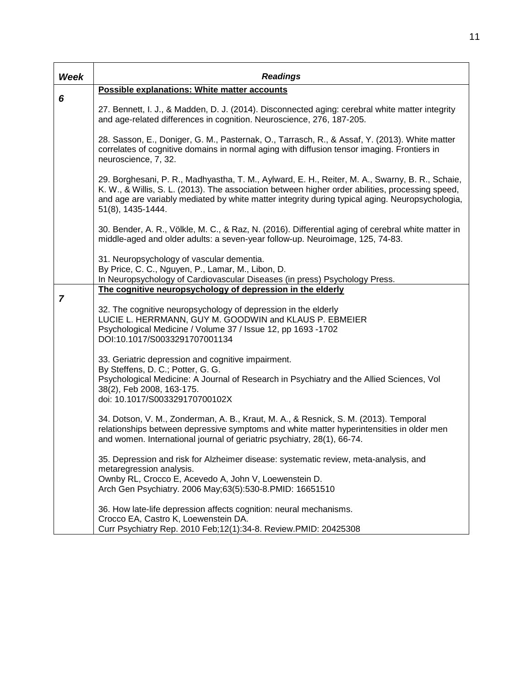| Week           | <b>Readings</b>                                                                                                                                                                                                                                                                                                             |
|----------------|-----------------------------------------------------------------------------------------------------------------------------------------------------------------------------------------------------------------------------------------------------------------------------------------------------------------------------|
|                | Possible explanations: White matter accounts                                                                                                                                                                                                                                                                                |
| 6              | 27. Bennett, I. J., & Madden, D. J. (2014). Disconnected aging: cerebral white matter integrity<br>and age-related differences in cognition. Neuroscience, 276, 187-205.                                                                                                                                                    |
|                | 28. Sasson, E., Doniger, G. M., Pasternak, O., Tarrasch, R., & Assaf, Y. (2013). White matter<br>correlates of cognitive domains in normal aging with diffusion tensor imaging. Frontiers in<br>neuroscience, 7, 32.                                                                                                        |
|                | 29. Borghesani, P. R., Madhyastha, T. M., Aylward, E. H., Reiter, M. A., Swarny, B. R., Schaie,<br>K. W., & Willis, S. L. (2013). The association between higher order abilities, processing speed,<br>and age are variably mediated by white matter integrity during typical aging. Neuropsychologia,<br>51(8), 1435-1444. |
|                | 30. Bender, A. R., Völkle, M. C., & Raz, N. (2016). Differential aging of cerebral white matter in<br>middle-aged and older adults: a seven-year follow-up. Neuroimage, 125, 74-83.                                                                                                                                         |
|                | 31. Neuropsychology of vascular dementia.<br>By Price, C. C., Nguyen, P., Lamar, M., Libon, D.<br>In Neuropsychology of Cardiovascular Diseases (in press) Psychology Press.                                                                                                                                                |
|                | The cognitive neuropsychology of depression in the elderly                                                                                                                                                                                                                                                                  |
| $\overline{7}$ | 32. The cognitive neuropsychology of depression in the elderly<br>LUCIE L. HERRMANN, GUY M. GOODWIN and KLAUS P. EBMEIER<br>Psychological Medicine / Volume 37 / Issue 12, pp 1693 -1702<br>DOI:10.1017/S0033291707001134                                                                                                   |
|                | 33. Geriatric depression and cognitive impairment.<br>By Steffens, D. C.; Potter, G. G.<br>Psychological Medicine: A Journal of Research in Psychiatry and the Allied Sciences, Vol<br>38(2), Feb 2008, 163-175.<br>doi: 10.1017/S003329170700102X                                                                          |
|                | 34. Dotson, V. M., Zonderman, A. B., Kraut, M. A., & Resnick, S. M. (2013). Temporal<br>relationships between depressive symptoms and white matter hyperintensities in older men<br>and women. International journal of geriatric psychiatry, 28(1), 66-74.                                                                 |
|                | 35. Depression and risk for Alzheimer disease: systematic review, meta-analysis, and<br>metaregression analysis.<br>Ownby RL, Crocco E, Acevedo A, John V, Loewenstein D.                                                                                                                                                   |
|                | Arch Gen Psychiatry. 2006 May;63(5):530-8. PMID: 16651510                                                                                                                                                                                                                                                                   |
|                | 36. How late-life depression affects cognition: neural mechanisms.<br>Crocco EA, Castro K, Loewenstein DA.<br>Curr Psychiatry Rep. 2010 Feb; 12(1): 34-8. Review. PMID: 20425308                                                                                                                                            |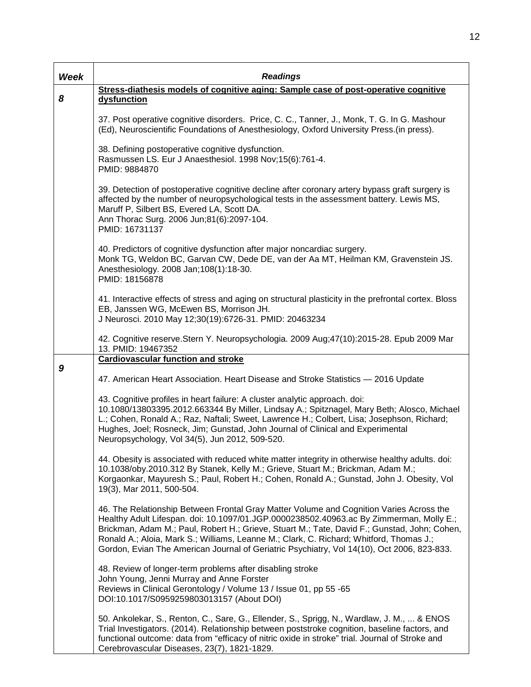| Week | <b>Readings</b>                                                                                                                                                                                                                                                                                                                                                                                                                                                             |
|------|-----------------------------------------------------------------------------------------------------------------------------------------------------------------------------------------------------------------------------------------------------------------------------------------------------------------------------------------------------------------------------------------------------------------------------------------------------------------------------|
| 8    | Stress-diathesis models of cognitive aging: Sample case of post-operative cognitive<br>dysfunction                                                                                                                                                                                                                                                                                                                                                                          |
|      |                                                                                                                                                                                                                                                                                                                                                                                                                                                                             |
|      | 37. Post operative cognitive disorders. Price, C. C., Tanner, J., Monk, T. G. In G. Mashour<br>(Ed), Neuroscientific Foundations of Anesthesiology, Oxford University Press.(in press).                                                                                                                                                                                                                                                                                     |
|      | 38. Defining postoperative cognitive dysfunction.<br>Rasmussen LS. Eur J Anaesthesiol. 1998 Nov;15(6):761-4.<br>PMID: 9884870                                                                                                                                                                                                                                                                                                                                               |
|      | 39. Detection of postoperative cognitive decline after coronary artery bypass graft surgery is<br>affected by the number of neuropsychological tests in the assessment battery. Lewis MS,<br>Maruff P, Silbert BS, Evered LA, Scott DA.<br>Ann Thorac Surg. 2006 Jun;81(6):2097-104.<br>PMID: 16731137                                                                                                                                                                      |
|      | 40. Predictors of cognitive dysfunction after major noncardiac surgery.<br>Monk TG, Weldon BC, Garvan CW, Dede DE, van der Aa MT, Heilman KM, Gravenstein JS.<br>Anesthesiology. 2008 Jan; 108(1): 18-30.<br>PMID: 18156878                                                                                                                                                                                                                                                 |
|      | 41. Interactive effects of stress and aging on structural plasticity in the prefrontal cortex. Bloss<br>EB, Janssen WG, McEwen BS, Morrison JH.<br>J Neurosci. 2010 May 12;30(19):6726-31. PMID: 20463234                                                                                                                                                                                                                                                                   |
|      | 42. Cognitive reserve.Stern Y. Neuropsychologia. 2009 Aug;47(10):2015-28. Epub 2009 Mar<br>13. PMID: 19467352                                                                                                                                                                                                                                                                                                                                                               |
| 9    | <b>Cardiovascular function and stroke</b>                                                                                                                                                                                                                                                                                                                                                                                                                                   |
|      | 47. American Heart Association. Heart Disease and Stroke Statistics - 2016 Update                                                                                                                                                                                                                                                                                                                                                                                           |
|      | 43. Cognitive profiles in heart failure: A cluster analytic approach. doi:<br>10.1080/13803395.2012.663344 By Miller, Lindsay A.; Spitznagel, Mary Beth; Alosco, Michael<br>L.; Cohen, Ronald A.; Raz, Naftali; Sweet, Lawrence H.; Colbert, Lisa; Josephson, Richard;<br>Hughes, Joel; Rosneck, Jim; Gunstad, John Journal of Clinical and Experimental<br>Neuropsychology, Vol 34(5), Jun 2012, 509-520.                                                                  |
|      | 44. Obesity is associated with reduced white matter integrity in otherwise healthy adults. doi:<br>10.1038/oby.2010.312 By Stanek, Kelly M.; Grieve, Stuart M.; Brickman, Adam M.;<br>Korgaonkar, Mayuresh S.; Paul, Robert H.; Cohen, Ronald A.; Gunstad, John J. Obesity, Vol<br>19(3), Mar 2011, 500-504.                                                                                                                                                                |
|      | 46. The Relationship Between Frontal Gray Matter Volume and Cognition Varies Across the<br>Healthy Adult Lifespan. doi: 10.1097/01.JGP.0000238502.40963.ac By Zimmerman, Molly E.;<br>Brickman, Adam M.; Paul, Robert H.; Grieve, Stuart M.; Tate, David F.; Gunstad, John; Cohen,<br>Ronald A.; Aloia, Mark S.; Williams, Leanne M.; Clark, C. Richard; Whitford, Thomas J.;<br>Gordon, Evian The American Journal of Geriatric Psychiatry, Vol 14(10), Oct 2006, 823-833. |
|      | 48. Review of longer-term problems after disabling stroke<br>John Young, Jenni Murray and Anne Forster<br>Reviews in Clinical Gerontology / Volume 13 / Issue 01, pp 55 -65<br>DOI:10.1017/S0959259803013157 (About DOI)                                                                                                                                                                                                                                                    |
|      | 50. Ankolekar, S., Renton, C., Sare, G., Ellender, S., Sprigg, N., Wardlaw, J. M.,  & ENOS<br>Trial Investigators. (2014). Relationship between poststroke cognition, baseline factors, and<br>functional outcome: data from "efficacy of nitric oxide in stroke" trial. Journal of Stroke and<br>Cerebrovascular Diseases, 23(7), 1821-1829.                                                                                                                               |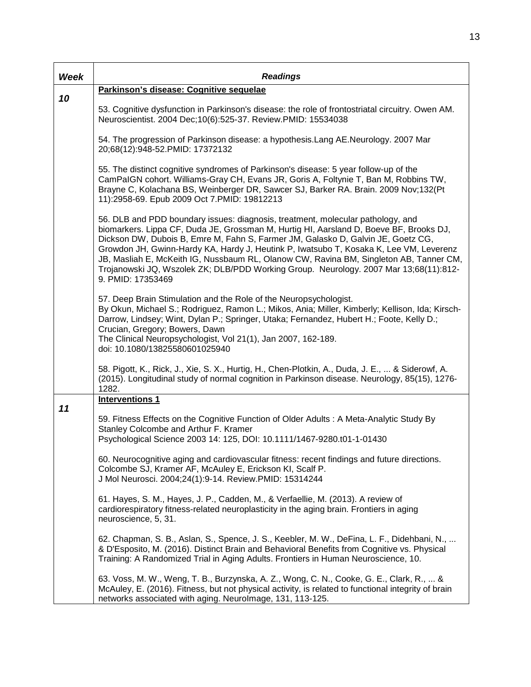| Week | <b>Readings</b>                                                                                                                                                                                                                                                                                                                                                                                                                                                                                                                                                 |
|------|-----------------------------------------------------------------------------------------------------------------------------------------------------------------------------------------------------------------------------------------------------------------------------------------------------------------------------------------------------------------------------------------------------------------------------------------------------------------------------------------------------------------------------------------------------------------|
|      | Parkinson's disease: Cognitive sequelae                                                                                                                                                                                                                                                                                                                                                                                                                                                                                                                         |
| 10   | 53. Cognitive dysfunction in Parkinson's disease: the role of frontostriatal circuitry. Owen AM.<br>Neuroscientist. 2004 Dec; 10(6): 525-37. Review. PMID: 15534038                                                                                                                                                                                                                                                                                                                                                                                             |
|      | 54. The progression of Parkinson disease: a hypothesis. Lang AE. Neurology. 2007 Mar<br>20;68(12):948-52.PMID: 17372132                                                                                                                                                                                                                                                                                                                                                                                                                                         |
|      | 55. The distinct cognitive syndromes of Parkinson's disease: 5 year follow-up of the<br>CamPaIGN cohort. Williams-Gray CH, Evans JR, Goris A, Foltynie T, Ban M, Robbins TW,<br>Brayne C, Kolachana BS, Weinberger DR, Sawcer SJ, Barker RA. Brain. 2009 Nov;132(Pt<br>11):2958-69. Epub 2009 Oct 7.PMID: 19812213                                                                                                                                                                                                                                              |
|      | 56. DLB and PDD boundary issues: diagnosis, treatment, molecular pathology, and<br>biomarkers. Lippa CF, Duda JE, Grossman M, Hurtig HI, Aarsland D, Boeve BF, Brooks DJ,<br>Dickson DW, Dubois B, Emre M, Fahn S, Farmer JM, Galasko D, Galvin JE, Goetz CG,<br>Growdon JH, Gwinn-Hardy KA, Hardy J, Heutink P, Iwatsubo T, Kosaka K, Lee VM, Leverenz<br>JB, Masliah E, McKeith IG, Nussbaum RL, Olanow CW, Ravina BM, Singleton AB, Tanner CM,<br>Trojanowski JQ, Wszolek ZK; DLB/PDD Working Group. Neurology. 2007 Mar 13;68(11):812-<br>9. PMID: 17353469 |
|      | 57. Deep Brain Stimulation and the Role of the Neuropsychologist.<br>By Okun, Michael S.; Rodriguez, Ramon L.; Mikos, Ania; Miller, Kimberly; Kellison, Ida; Kirsch-<br>Darrow, Lindsey; Wint, Dylan P.; Springer, Utaka; Fernandez, Hubert H.; Foote, Kelly D.;<br>Crucian, Gregory; Bowers, Dawn<br>The Clinical Neuropsychologist, Vol 21(1), Jan 2007, 162-189.<br>doi: 10.1080/13825580601025940                                                                                                                                                           |
|      | 58. Pigott, K., Rick, J., Xie, S. X., Hurtig, H., Chen-Plotkin, A., Duda, J. E.,  & Siderowf, A.<br>(2015). Longitudinal study of normal cognition in Parkinson disease. Neurology, 85(15), 1276-<br>1282.                                                                                                                                                                                                                                                                                                                                                      |
|      | <b>Interventions 1</b>                                                                                                                                                                                                                                                                                                                                                                                                                                                                                                                                          |
| 11   | 59. Fitness Effects on the Cognitive Function of Older Adults: A Meta-Analytic Study By<br>Stanley Colcombe and Arthur F. Kramer<br>Psychological Science 2003 14: 125, DOI: 10.1111/1467-9280.t01-1-01430                                                                                                                                                                                                                                                                                                                                                      |
|      | 60. Neurocognitive aging and cardiovascular fitness: recent findings and future directions.<br>Colcombe SJ, Kramer AF, McAuley E, Erickson KI, Scalf P.<br>J Mol Neurosci. 2004;24(1):9-14. Review.PMID: 15314244                                                                                                                                                                                                                                                                                                                                               |
|      | 61. Hayes, S. M., Hayes, J. P., Cadden, M., & Verfaellie, M. (2013). A review of<br>cardiorespiratory fitness-related neuroplasticity in the aging brain. Frontiers in aging<br>neuroscience, 5, 31.                                                                                                                                                                                                                                                                                                                                                            |
|      | 62. Chapman, S. B., Aslan, S., Spence, J. S., Keebler, M. W., DeFina, L. F., Didehbani, N.,<br>& D'Esposito, M. (2016). Distinct Brain and Behavioral Benefits from Cognitive vs. Physical<br>Training: A Randomized Trial in Aging Adults. Frontiers in Human Neuroscience, 10.                                                                                                                                                                                                                                                                                |
|      | 63. Voss, M. W., Weng, T. B., Burzynska, A. Z., Wong, C. N., Cooke, G. E., Clark, R.,  &<br>McAuley, E. (2016). Fitness, but not physical activity, is related to functional integrity of brain<br>networks associated with aging. Neurolmage, 131, 113-125.                                                                                                                                                                                                                                                                                                    |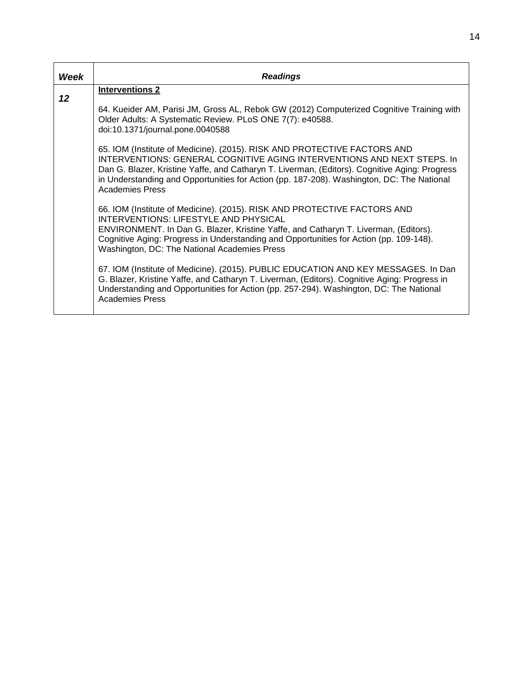| Week | <b>Readings</b>                                                                                                                                                                                                                                                                                                                                                             |
|------|-----------------------------------------------------------------------------------------------------------------------------------------------------------------------------------------------------------------------------------------------------------------------------------------------------------------------------------------------------------------------------|
| 12   | <b>Interventions 2</b>                                                                                                                                                                                                                                                                                                                                                      |
|      | 64. Kueider AM, Parisi JM, Gross AL, Rebok GW (2012) Computerized Cognitive Training with<br>Older Adults: A Systematic Review. PLoS ONE 7(7): e40588.<br>doi:10.1371/journal.pone.0040588                                                                                                                                                                                  |
|      | 65. IOM (Institute of Medicine). (2015). RISK AND PROTECTIVE FACTORS AND<br>INTERVENTIONS: GENERAL COGNITIVE AGING INTERVENTIONS AND NEXT STEPS. In<br>Dan G. Blazer, Kristine Yaffe, and Catharyn T. Liverman, (Editors). Cognitive Aging: Progress<br>in Understanding and Opportunities for Action (pp. 187-208). Washington, DC: The National<br><b>Academies Press</b> |
|      | 66. IOM (Institute of Medicine). (2015). RISK AND PROTECTIVE FACTORS AND<br>INTERVENTIONS: LIFESTYLE AND PHYSICAL<br>ENVIRONMENT. In Dan G. Blazer, Kristine Yaffe, and Catharyn T. Liverman, (Editors).<br>Cognitive Aging: Progress in Understanding and Opportunities for Action (pp. 109-148).<br>Washington, DC: The National Academies Press                          |
|      | 67. IOM (Institute of Medicine). (2015). PUBLIC EDUCATION AND KEY MESSAGES. In Dan<br>G. Blazer, Kristine Yaffe, and Catharyn T. Liverman, (Editors). Cognitive Aging: Progress in<br>Understanding and Opportunities for Action (pp. 257-294). Washington, DC: The National<br><b>Academies Press</b>                                                                      |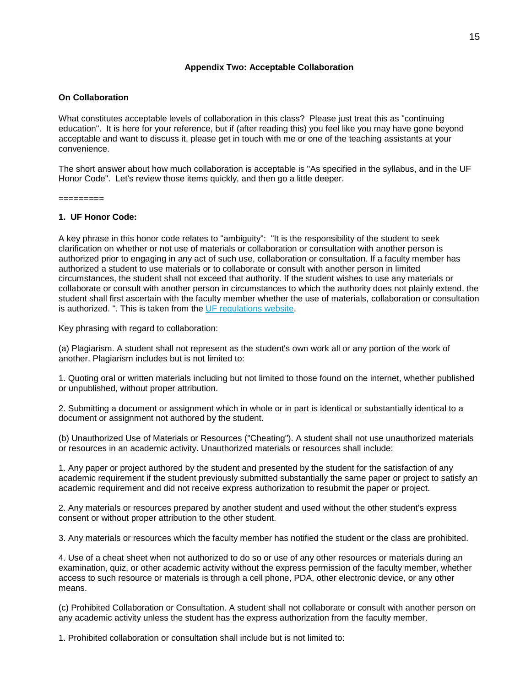### **Appendix Two: Acceptable Collaboration**

### **On Collaboration**

What constitutes acceptable levels of collaboration in this class? Please just treat this as "continuing education". It is here for your reference, but if (after reading this) you feel like you may have gone beyond acceptable and want to discuss it, please get in touch with me or one of the teaching assistants at your convenience.

The short answer about how much collaboration is acceptable is "As specified in the syllabus, and in the UF Honor Code". Let's review those items quickly, and then go a little deeper.

=========

#### **1. UF Honor Code:**

A key phrase in this honor code relates to "ambiguity": "It is the responsibility of the student to seek clarification on whether or not use of materials or collaboration or consultation with another person is authorized prior to engaging in any act of such use, collaboration or consultation. If a faculty member has authorized a student to use materials or to collaborate or consult with another person in limited circumstances, the student shall not exceed that authority. If the student wishes to use any materials or collaborate or consult with another person in circumstances to which the authority does not plainly extend, the student shall first ascertain with the faculty member whether the use of materials, collaboration or consultation is authorized. ". This is taken from the [UF regulations website.](http://regulations.ufl.edu/chapter4/4041-2008.pdf)

Key phrasing with regard to collaboration:

(a) Plagiarism. A student shall not represent as the student's own work all or any portion of the work of another. Plagiarism includes but is not limited to:

1. Quoting oral or written materials including but not limited to those found on the internet, whether published or unpublished, without proper attribution.

2. Submitting a document or assignment which in whole or in part is identical or substantially identical to a document or assignment not authored by the student.

(b) Unauthorized Use of Materials or Resources ("Cheating"). A student shall not use unauthorized materials or resources in an academic activity. Unauthorized materials or resources shall include:

1. Any paper or project authored by the student and presented by the student for the satisfaction of any academic requirement if the student previously submitted substantially the same paper or project to satisfy an academic requirement and did not receive express authorization to resubmit the paper or project.

2. Any materials or resources prepared by another student and used without the other student's express consent or without proper attribution to the other student.

3. Any materials or resources which the faculty member has notified the student or the class are prohibited.

4. Use of a cheat sheet when not authorized to do so or use of any other resources or materials during an examination, quiz, or other academic activity without the express permission of the faculty member, whether access to such resource or materials is through a cell phone, PDA, other electronic device, or any other means.

(c) Prohibited Collaboration or Consultation. A student shall not collaborate or consult with another person on any academic activity unless the student has the express authorization from the faculty member.

1. Prohibited collaboration or consultation shall include but is not limited to: